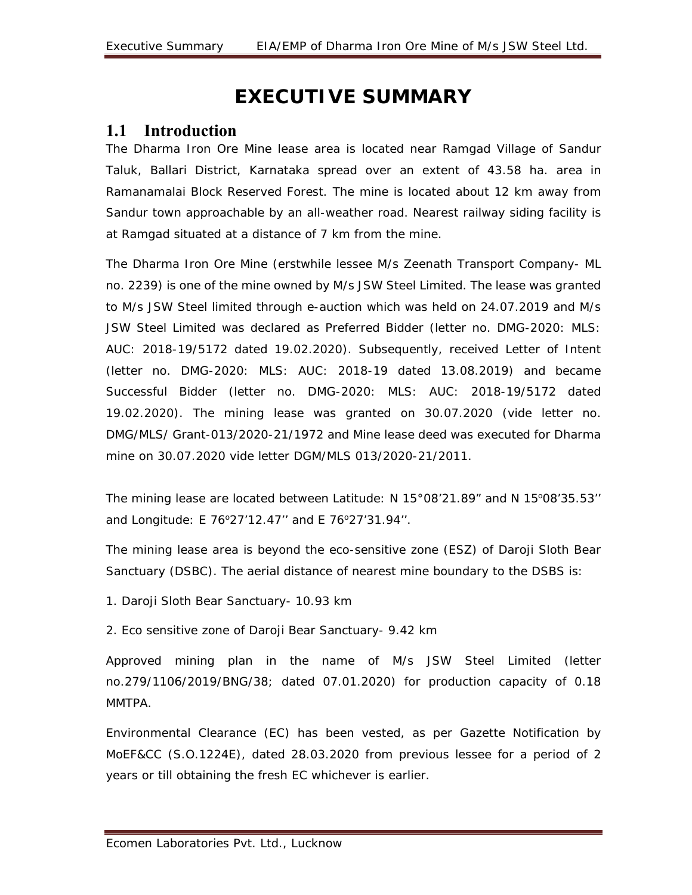## **EXECUTIVE SUMMARY**

#### **1.1 Introduction**

The Dharma Iron Ore Mine lease area is located near Ramgad Village of Sandur Taluk, Ballari District, Karnataka spread over an extent of 43.58 ha. area in Ramanamalai Block Reserved Forest. The mine is located about 12 km away from Sandur town approachable by an all-weather road. Nearest railway siding facility is at Ramgad situated at a distance of 7 km from the mine.

The Dharma Iron Ore Mine (erstwhile lessee M/s Zeenath Transport Company- ML no. 2239) is one of the mine owned by M/s JSW Steel Limited. The lease was granted to M/s JSW Steel limited through e-auction which was held on 24.07.2019 and M/s JSW Steel Limited was declared as Preferred Bidder (letter no. DMG-2020: MLS: AUC: 2018-19/5172 dated 19.02.2020). Subsequently, received Letter of Intent (letter no. DMG-2020: MLS: AUC: 2018-19 dated 13.08.2019) and became Successful Bidder (letter no. DMG-2020: MLS: AUC: 2018-19/5172 dated 19.02.2020). The mining lease was granted on 30.07.2020 (vide letter no. DMG/MLS/ Grant-013/2020-21/1972 and Mine lease deed was executed for Dharma mine on 30.07.2020 vide letter DGM/MLS 013/2020-21/2011.

The mining lease are located between Latitude:  $N 15^{\circ}08'21.89''$  and N  $15^{\circ}08'35.53''$ and Longitude: E 76°27'12.47" and E 76°27'31.94".

The mining lease area is beyond the eco-sensitive zone (ESZ) of Daroji Sloth Bear Sanctuary (DSBC). The aerial distance of nearest mine boundary to the DSBS is:

1. Daroji Sloth Bear Sanctuary- 10.93 km

2. Eco sensitive zone of Daroji Bear Sanctuary- 9.42 km

Approved mining plan in the name of M/s JSW Steel Limited (letter no.279/1106/2019/BNG/38; dated 07.01.2020) for production capacity of 0.18 MMTPA.

Environmental Clearance (EC) has been vested, as per Gazette Notification by MoEF&CC (S.O.1224E), dated 28.03.2020 from previous lessee for a period of 2 years or till obtaining the fresh EC whichever is earlier.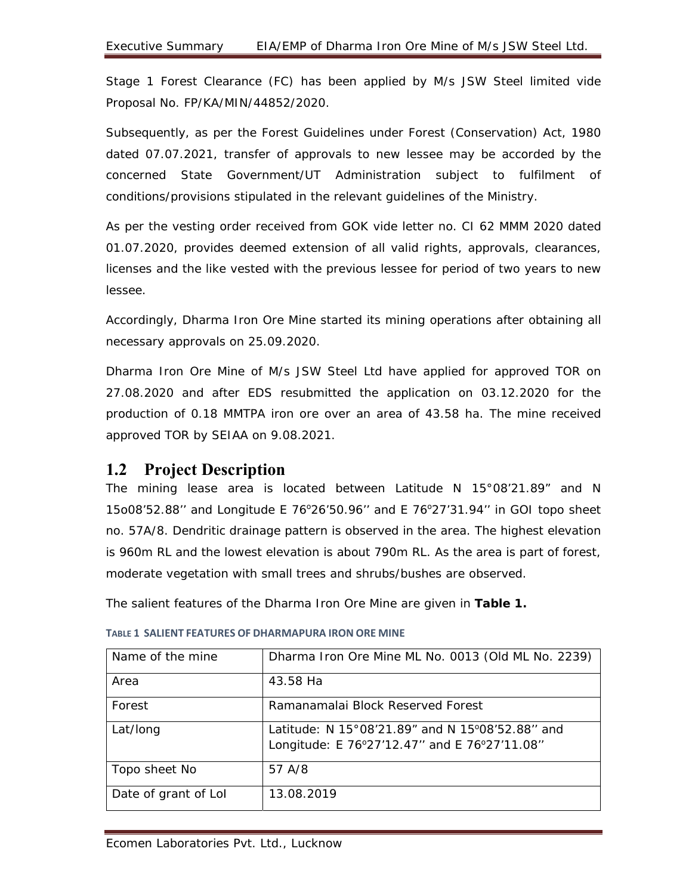Stage 1 Forest Clearance (FC) has been applied by M/s JSW Steel limited vide Proposal No. FP/KA/MIN/44852/2020.

Subsequently, as per the Forest Guidelines under Forest (Conservation) Act, 1980 dated 07.07.2021, transfer of approvals to new lessee may be accorded by the concerned State Government/UT Administration subject to fulfilment of conditions/provisions stipulated in the relevant guidelines of the Ministry.

As per the vesting order received from GOK vide letter no. CI 62 MMM 2020 dated 01.07.2020, provides deemed extension of all valid rights, approvals, clearances, licenses and the like vested with the previous lessee for period of two years to new lessee.

Accordingly, Dharma Iron Ore Mine started its mining operations after obtaining all necessary approvals on 25.09.2020.

Dharma Iron Ore Mine of M/s JSW Steel Ltd have applied for approved TOR on 27.08.2020 and after EDS resubmitted the application on 03.12.2020 for the production of 0.18 MMTPA iron ore over an area of 43.58 ha. The mine received approved TOR by SEIAA on 9.08.2021.

#### **1.2 Project Description**

The mining lease area is located between Latitude N 15°08'21.89" and N 15o08'52.88" and Longitude E 76°26'50.96" and E 76°27'31.94" in GOI topo sheet no. 57A/8. Dendritic drainage pattern is observed in the area. The highest elevation is 960m RL and the lowest elevation is about 790m RL. As the area is part of forest, moderate vegetation with small trees and shrubs/bushes are observed.

The salient features of the Dharma Iron Ore Mine are given in **Table 1.** 

| Name of the mine     | Dharma Iron Ore Mine ML No. 0013 (Old ML No. 2239)                                              |
|----------------------|-------------------------------------------------------------------------------------------------|
| Area                 | 43.58 Ha                                                                                        |
| Forest               | Ramanamalai Block Reserved Forest                                                               |
| Lat/long             | Latitude: N 15°08'21.89" and N 15°08'52.88" and<br>Longitude: E 76°27'12.47" and E 76°27'11.08" |
| Topo sheet No        | 57 A/8                                                                                          |
| Date of grant of Lol | 13.08.2019                                                                                      |

#### **TABLE 1 SALIENT FEATURES OF DHARMAPURA IRON ORE MINE**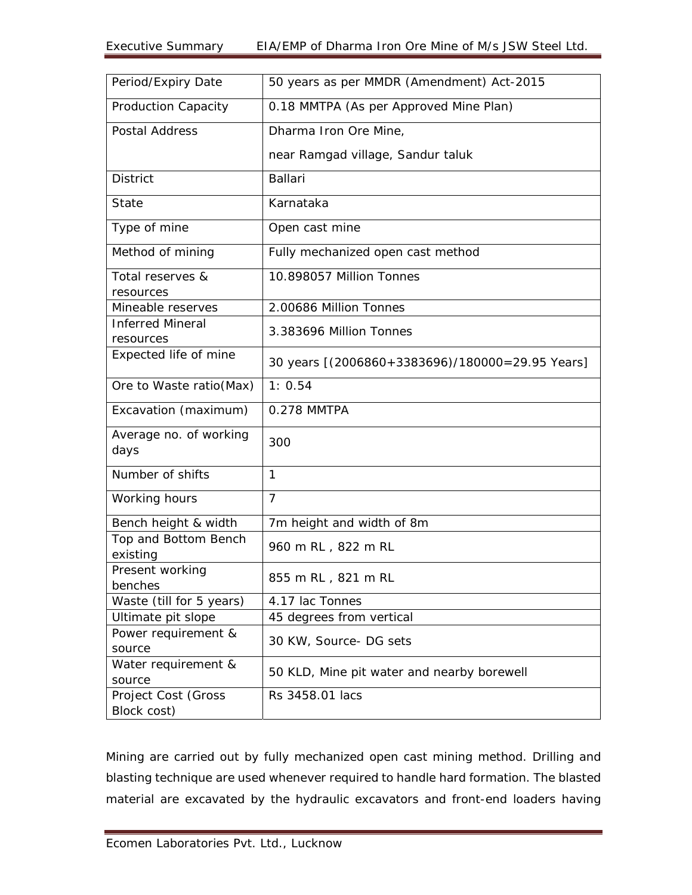| Period/Expiry Date                 | 50 years as per MMDR (Amendment) Act-2015       |
|------------------------------------|-------------------------------------------------|
| <b>Production Capacity</b>         | 0.18 MMTPA (As per Approved Mine Plan)          |
| <b>Postal Address</b>              | Dharma Iron Ore Mine,                           |
|                                    | near Ramgad village, Sandur taluk               |
| <b>District</b>                    | <b>Ballari</b>                                  |
| State                              | Karnataka                                       |
| Type of mine                       | Open cast mine                                  |
| Method of mining                   | Fully mechanized open cast method               |
| Total reserves &<br>resources      | 10.898057 Million Tonnes                        |
| Mineable reserves                  | 2.00686 Million Tonnes                          |
| <b>Inferred Mineral</b>            | 3.383696 Million Tonnes                         |
| resources                          |                                                 |
| Expected life of mine              | 30 years [(2006860+3383696)/180000=29.95 Years] |
| Ore to Waste ratio(Max)            | 1: 0.54                                         |
| Excavation (maximum)               | 0.278 MMTPA                                     |
| Average no. of working<br>days     | 300                                             |
| Number of shifts                   | 1                                               |
| Working hours                      | $\overline{7}$                                  |
| Bench height & width               | 7m height and width of 8m                       |
| Top and Bottom Bench<br>existing   | 960 m RL, 822 m RL                              |
| Present working<br>benches         | 855 m RL, 821 m RL                              |
| Waste (till for 5 years)           | 4.17 lac Tonnes                                 |
| Ultimate pit slope                 | 45 degrees from vertical                        |
| Power requirement &<br>source      | 30 KW, Source- DG sets                          |
| Water requirement &<br>source      | 50 KLD, Mine pit water and nearby borewell      |
| Project Cost (Gross<br>Block cost) | Rs 3458.01 lacs                                 |

Mining are carried out by fully mechanized open cast mining method. Drilling and blasting technique are used whenever required to handle hard formation. The blasted material are excavated by the hydraulic excavators and front-end loaders having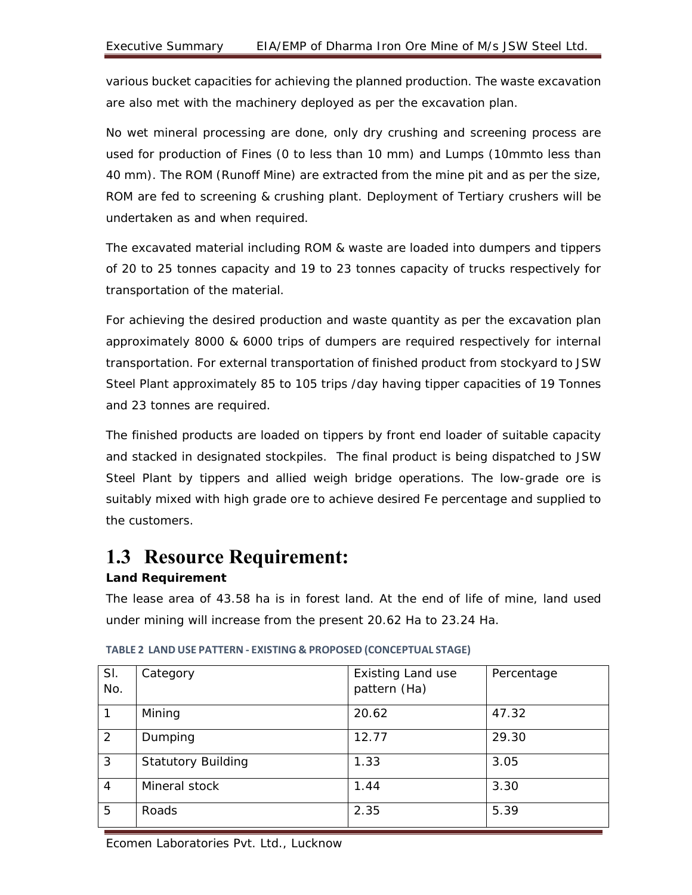various bucket capacities for achieving the planned production. The waste excavation are also met with the machinery deployed as per the excavation plan.

No wet mineral processing are done, only dry crushing and screening process are used for production of Fines (0 to less than 10 mm) and Lumps (10mmto less than 40 mm). The ROM (Runoff Mine) are extracted from the mine pit and as per the size, ROM are fed to screening & crushing plant. Deployment of Tertiary crushers will be undertaken as and when required.

The excavated material including ROM & waste are loaded into dumpers and tippers of 20 to 25 tonnes capacity and 19 to 23 tonnes capacity of trucks respectively for transportation of the material.

For achieving the desired production and waste quantity as per the excavation plan approximately 8000 & 6000 trips of dumpers are required respectively for internal transportation. For external transportation of finished product from stockyard to JSW Steel Plant approximately 85 to 105 trips /day having tipper capacities of 19 Tonnes and 23 tonnes are required.

The finished products are loaded on tippers by front end loader of suitable capacity and stacked in designated stockpiles. The final product is being dispatched to JSW Steel Plant by tippers and allied weigh bridge operations. The low-grade ore is suitably mixed with high grade ore to achieve desired Fe percentage and supplied to the customers.

## **1.3 Resource Requirement:**

#### **Land Requirement**

The lease area of 43.58 ha is in forest land. At the end of life of mine, land used under mining will increase from the present 20.62 Ha to 23.24 Ha.

| SI.<br>No.     | Category                  | <b>Existing Land use</b><br>pattern (Ha) | Percentage |
|----------------|---------------------------|------------------------------------------|------------|
|                | Mining                    | 20.62                                    | 47.32      |
| $\mathcal{P}$  | Dumping                   | 12.77                                    | 29.30      |
| 3              | <b>Statutory Building</b> | 1.33                                     | 3.05       |
| $\overline{4}$ | Mineral stock             | 1.44                                     | 3.30       |
| 5              | Roads                     | 2.35                                     | 5.39       |

**TABLE 2 LAND USE PATTERN ‐ EXISTING & PROPOSED (CONCEPTUAL STAGE)**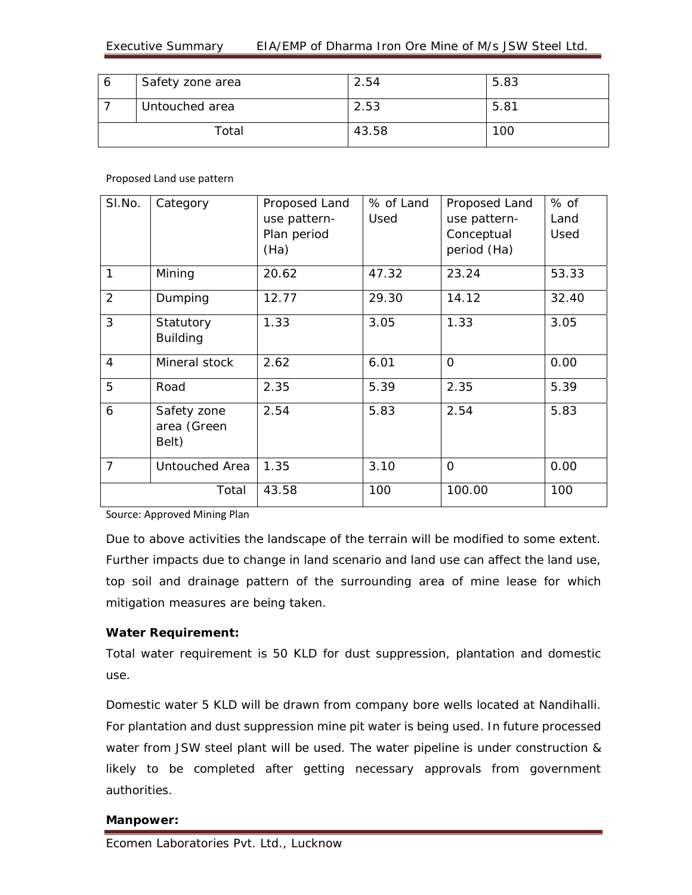| 6 | Safety zone area | 2.54  | 5.83 |
|---|------------------|-------|------|
|   | Untouched area   | 2.53  | 5.81 |
|   | Total            | 43.58 | 100  |

Proposed Land use pattern

| SI.No.         | Category                            | Proposed Land<br>use pattern-<br>Plan period<br>(Ha) | % of Land<br>Used | Proposed Land<br>use pattern-<br>Conceptual<br>period (Ha) | $%$ of<br>Land<br>Used |
|----------------|-------------------------------------|------------------------------------------------------|-------------------|------------------------------------------------------------|------------------------|
| 1              | Mining                              | 20.62                                                | 47.32             | 23.24                                                      | 53.33                  |
| $\overline{2}$ | Dumping                             | 12.77                                                | 29.30             | 14.12                                                      | 32.40                  |
| 3              | Statutory<br><b>Building</b>        | 1.33                                                 | 3.05              | 1.33                                                       | 3.05                   |
| $\overline{4}$ | Mineral stock                       | 2.62                                                 | 6.01              | $\Omega$                                                   | 0.00                   |
| 5              | Road                                | 2.35                                                 | 5.39              | 2.35                                                       | 5.39                   |
| 6              | Safety zone<br>area (Green<br>Belt) | 2.54                                                 | 5.83              | 2.54                                                       | 5.83                   |
| $\overline{7}$ | Untouched Area                      | 1.35                                                 | 3.10              | O                                                          | 0.00                   |
|                | Total                               | 43.58                                                | 100               | 100.00                                                     | 100                    |

Source: Approved Mining Plan

Due to above activities the landscape of the terrain will be modified to some extent. Further impacts due to change in land scenario and land use can affect the land use, top soil and drainage pattern of the surrounding area of mine lease for which mitigation measures are being taken.

#### **Water Requirement:**

Total water requirement is 50 KLD for dust suppression, plantation and domestic use.

Domestic water 5 KLD will be drawn from company bore wells located at Nandihalli. For plantation and dust suppression mine pit water is being used. In future processed water from JSW steel plant will be used. The water pipeline is under construction & likely to be completed after getting necessary approvals from government authorities.

#### **Manpower:**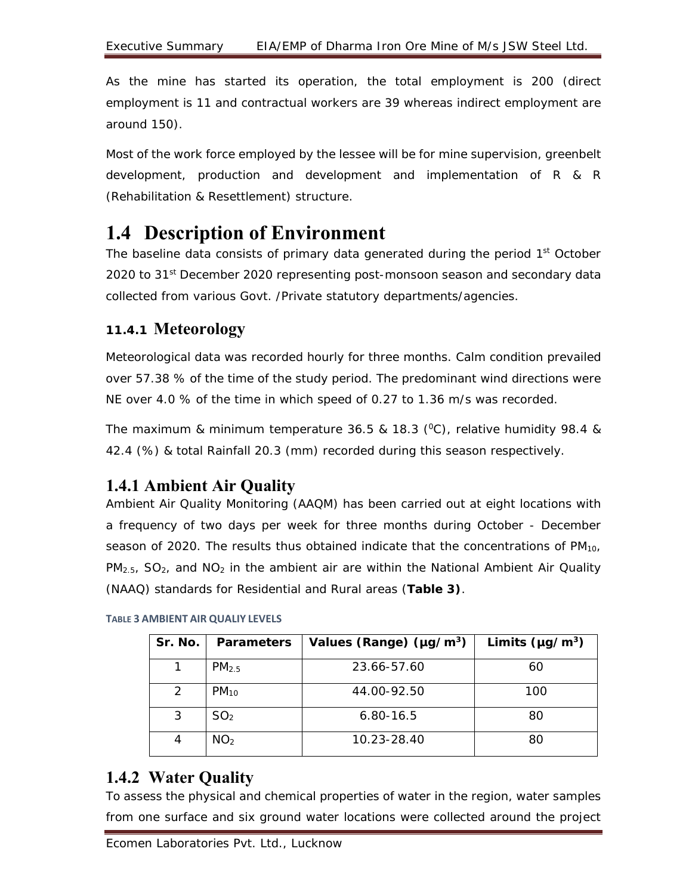As the mine has started its operation, the total employment is 200 (direct employment is 11 and contractual workers are 39 whereas indirect employment are around 150).

Most of the work force employed by the lessee will be for mine supervision, greenbelt development, production and development and implementation of R & R (Rehabilitation & Resettlement) structure.

## **1.4 Description of Environment**

The baseline data consists of primary data generated during the period 1<sup>st</sup> October 2020 to 31<sup>st</sup> December 2020 representing post-monsoon season and secondary data collected from various Govt. /Private statutory departments/agencies.

#### **11.4.1 Meteorology**

Meteorological data was recorded hourly for three months. Calm condition prevailed over 57.38 % of the time of the study period. The predominant wind directions were NE over 4.0 % of the time in which speed of 0.27 to 1.36 m/s was recorded.

The maximum & minimum temperature 36.5 & 18.3 ( $^{\circ}$ C), relative humidity 98.4 & 42.4 (%) & total Rainfall 20.3 (mm) recorded during this season respectively.

### **1.4.1 Ambient Air Quality**

Ambient Air Quality Monitoring (AAQM) has been carried out at eight locations with a frequency of two days per week for three months during October - December season of 2020. The results thus obtained indicate that the concentrations of  $PM_{10}$ ,  $PM_{2.5}$ ,  $SO_2$ , and  $NO_2$  in the ambient air are within the National Ambient Air Quality (NAAQ) standards for Residential and Rural areas (**Table 3)**.

| Sr. No. | <b>Parameters</b> | Values (Range) ( $\mu$ g/m <sup>3</sup> ) | Limits ( $\mu$ g/m <sup>3</sup> ) |
|---------|-------------------|-------------------------------------------|-----------------------------------|
|         | PM <sub>2.5</sub> | 23.66-57.60                               | 60                                |
| 2       | $PM_{10}$         | 44.00-92.50                               | 100                               |
| 3       | SO <sub>2</sub>   | $6.80 - 16.5$                             | 80                                |
| 4       | NO <sub>2</sub>   | 10.23-28.40                               | 80                                |

#### **TABLE 3 AMBIENT AIR QUALIY LEVELS**

### **1.4.2 Water Quality**

To assess the physical and chemical properties of water in the region, water samples from one surface and six ground water locations were collected around the project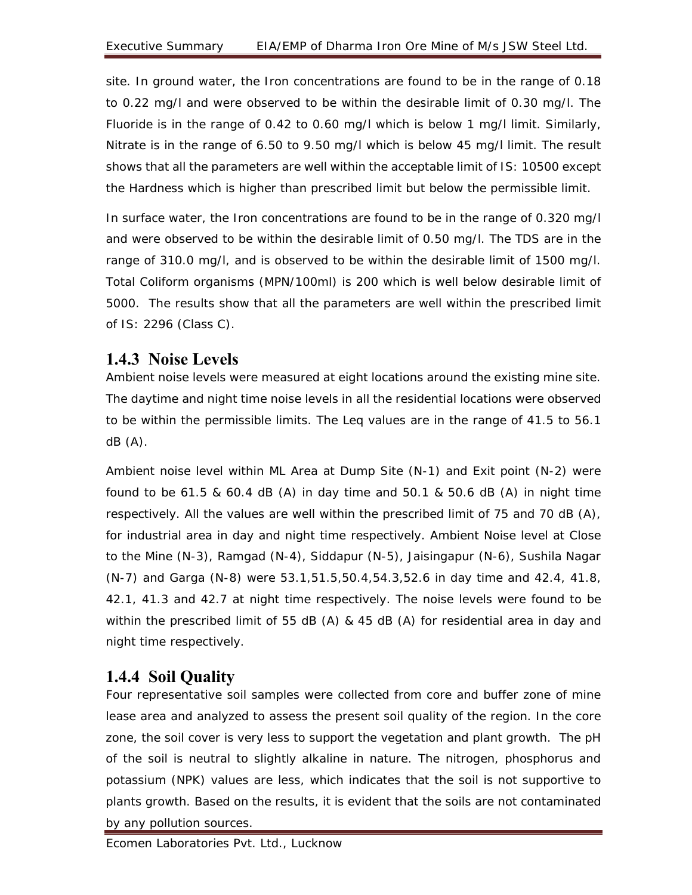site. In ground water, the Iron concentrations are found to be in the range of 0.18 to 0.22 mg/l and were observed to be within the desirable limit of 0.30 mg/l. The Fluoride is in the range of 0.42 to 0.60 mg/l which is below 1 mg/l limit. Similarly, Nitrate is in the range of 6.50 to 9.50 mg/l which is below 45 mg/l limit. The result shows that all the parameters are well within the acceptable limit of IS: 10500 except the Hardness which is higher than prescribed limit but below the permissible limit.

In surface water, the Iron concentrations are found to be in the range of 0.320 mg/l and were observed to be within the desirable limit of 0.50 mg/l. The TDS are in the range of 310.0 mg/l, and is observed to be within the desirable limit of 1500 mg/l. Total Coliform organisms (MPN/100ml) is 200 which is well below desirable limit of 5000. The results show that all the parameters are well within the prescribed limit of IS: 2296 (Class C).

#### **1.4.3 Noise Levels**

Ambient noise levels were measured at eight locations around the existing mine site. The daytime and night time noise levels in all the residential locations were observed to be within the permissible limits. The Leq values are in the range of 41.5 to 56.1 dB (A).

Ambient noise level within ML Area at Dump Site (N-1) and Exit point (N-2) were found to be 61.5 & 60.4 dB (A) in day time and 50.1 & 50.6 dB (A) in night time respectively. All the values are well within the prescribed limit of 75 and 70 dB (A), for industrial area in day and night time respectively. Ambient Noise level at Close to the Mine (N-3), Ramgad (N-4), Siddapur (N-5), Jaisingapur (N-6), Sushila Nagar (N-7) and Garga (N-8) were 53.1,51.5,50.4,54.3,52.6 in day time and 42.4, 41.8, 42.1, 41.3 and 42.7 at night time respectively. The noise levels were found to be within the prescribed limit of 55 dB (A) & 45 dB (A) for residential area in day and night time respectively.

### **1.4.4 Soil Quality**

Four representative soil samples were collected from core and buffer zone of mine lease area and analyzed to assess the present soil quality of the region. In the core zone, the soil cover is very less to support the vegetation and plant growth. The pH of the soil is neutral to slightly alkaline in nature. The nitrogen, phosphorus and potassium (NPK) values are less, which indicates that the soil is not supportive to plants growth. Based on the results, it is evident that the soils are not contaminated by any pollution sources.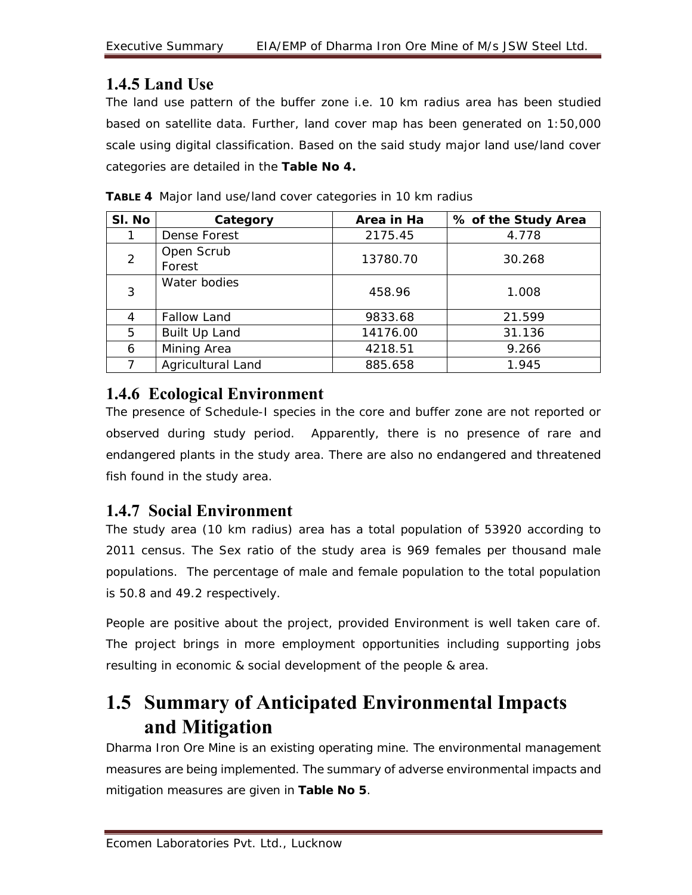### **1.4.5 Land Use**

The land use pattern of the buffer zone i.e. 10 km radius area has been studied based on satellite data. Further, land cover map has been generated on 1:50,000 scale using digital classification. Based on the said study major land use/land cover categories are detailed in the **Table No 4.**

| SI. No | Category             | Area in Ha | % of the Study Area |
|--------|----------------------|------------|---------------------|
|        | Dense Forest         | 2175.45    | 4.778               |
| 2      | Open Scrub<br>Forest | 13780.70   | 30.268              |
| 3      | Water bodies         | 458.96     | 1.008               |
| 4      | <b>Fallow Land</b>   | 9833.68    | 21.599              |
| 5      | Built Up Land        | 14176.00   | 31.136              |
| 6      | Mining Area          | 4218.51    | 9.266               |
|        | Agricultural Land    | 885.658    | 1.945               |

**TABLE 4** Major land use/land cover categories in 10 km radius

### **1.4.6 Ecological Environment**

The presence of Schedule-I species in the core and buffer zone are not reported or observed during study period. Apparently, there is no presence of rare and endangered plants in the study area. There are also no endangered and threatened fish found in the study area.

### **1.4.7 Social Environment**

The study area (10 km radius) area has a total population of 53920 according to 2011 census. The Sex ratio of the study area is 969 females per thousand male populations. The percentage of male and female population to the total population is 50.8 and 49.2 respectively.

People are positive about the project, provided Environment is well taken care of. The project brings in more employment opportunities including supporting jobs resulting in economic & social development of the people & area.

## **1.5 Summary of Anticipated Environmental Impacts and Mitigation**

Dharma Iron Ore Mine is an existing operating mine. The environmental management measures are being implemented. The summary of adverse environmental impacts and mitigation measures are given in **Table No 5**.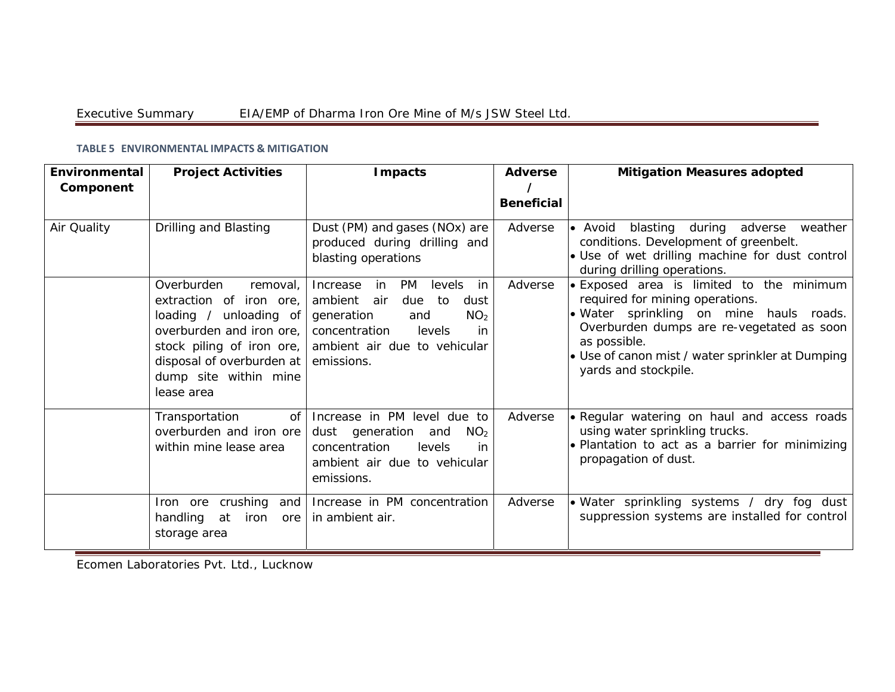| Environmental<br>Component | <b>Project Activities</b>                                                                                                                                                                                | <b>Impacts</b>                                                                                                                                                                                     | <b>Adverse</b><br><b>Beneficial</b> | <b>Mitigation Measures adopted</b>                                                                                                                                                                                                                            |
|----------------------------|----------------------------------------------------------------------------------------------------------------------------------------------------------------------------------------------------------|----------------------------------------------------------------------------------------------------------------------------------------------------------------------------------------------------|-------------------------------------|---------------------------------------------------------------------------------------------------------------------------------------------------------------------------------------------------------------------------------------------------------------|
| Air Quality                | Drilling and Blasting                                                                                                                                                                                    | Dust (PM) and gases (NOx) are<br>produced during drilling and<br>blasting operations                                                                                                               | Adverse                             | • Avoid blasting during adverse<br>weather<br>conditions. Development of greenbelt.<br>• Use of wet drilling machine for dust control<br>during drilling operations.                                                                                          |
|                            | Overburden<br>removal,<br>extraction of iron ore,<br>loading / unloading of<br>overburden and iron ore,<br>stock piling of iron ore,<br>disposal of overburden at<br>dump site within mine<br>lease area | in<br>PM<br>levels<br>Increase<br>in<br>ambient<br>air<br>due<br>to<br>dust<br>NO <sub>2</sub><br>generation<br>and<br>concentration<br>levels<br>in<br>ambient air due to vehicular<br>emissions. | Adverse                             | Exposed area is limited to the minimum<br>required for mining operations.<br>· Water sprinkling on mine hauls roads.<br>Overburden dumps are re-vegetated as soon<br>as possible.<br>• Use of canon mist / water sprinkler at Dumping<br>yards and stockpile. |
|                            | of<br>Transportation<br>overburden and iron ore<br>within mine lease area                                                                                                                                | Increase in PM level due to<br>dust generation<br>NO <sub>2</sub><br>and<br>concentration<br>levels<br>in.<br>ambient air due to vehicular<br>emissions.                                           | Adverse                             | • Regular watering on haul and access roads<br>using water sprinkling trucks.<br>. Plantation to act as a barrier for minimizing<br>propagation of dust.                                                                                                      |
|                            | Iron ore crushing<br>and<br>handling<br>at<br>iron<br>ore<br>storage area                                                                                                                                | Increase in PM concentration<br>in ambient air.                                                                                                                                                    | Adverse                             | • Water sprinkling systems / dry fog dust<br>suppression systems are installed for control                                                                                                                                                                    |

#### **TABLE 5 ENVIRONMENTAL IMPACTS & MITIGATION**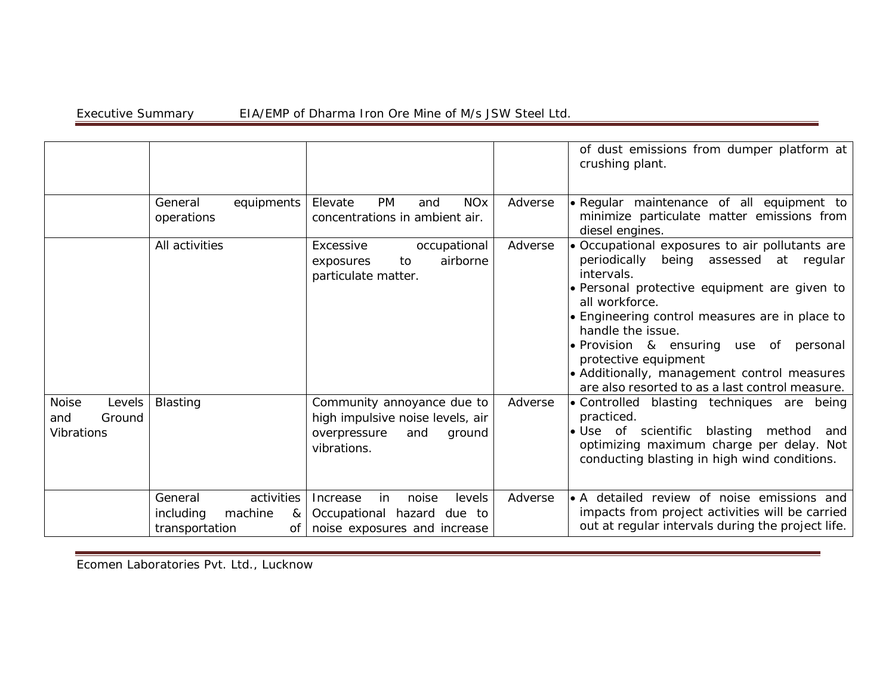|                                                              |                                                                            |                                                                                                                |         | of dust emissions from dumper platform at<br>crushing plant.                                                                                                                                                                                                                                                                                                                                                                 |
|--------------------------------------------------------------|----------------------------------------------------------------------------|----------------------------------------------------------------------------------------------------------------|---------|------------------------------------------------------------------------------------------------------------------------------------------------------------------------------------------------------------------------------------------------------------------------------------------------------------------------------------------------------------------------------------------------------------------------------|
|                                                              | General<br>equipments<br>operations                                        | <b>PM</b><br>Elevate<br><b>NO<sub>x</sub></b><br>and<br>concentrations in ambient air.                         | Adverse | · Regular maintenance of all equipment to<br>minimize particulate matter emissions from<br>diesel engines.                                                                                                                                                                                                                                                                                                                   |
|                                                              | All activities                                                             | occupational<br>Excessive<br>airborne<br>to<br>exposures<br>particulate matter.                                | Adverse | • Occupational exposures to air pollutants are<br>periodically<br>being assessed at regular<br>intervals.<br>• Personal protective equipment are given to<br>all workforce.<br>• Engineering control measures are in place to<br>handle the issue.<br>• Provision & ensuring<br>use of<br>personal<br>protective equipment<br>• Additionally, management control measures<br>are also resorted to as a last control measure. |
| Levels<br><b>Noise</b><br>Ground<br>and<br><b>Vibrations</b> | <b>Blasting</b>                                                            | Community annoyance due to<br>high impulsive noise levels, air<br>overpressure<br>and<br>ground<br>vibrations. | Adverse | • Controlled blasting techniques are being<br>practiced.<br>. Use of scientific blasting method<br>and<br>optimizing maximum charge per delay. Not<br>conducting blasting in high wind conditions.                                                                                                                                                                                                                           |
|                                                              | activities<br>General<br>including<br>machine<br>&<br>transportation<br>οf | levels<br>Increase<br>in<br>noise<br>Occupational hazard<br>due to<br>noise exposures and increase             | Adverse | • A detailed review of noise emissions and<br>impacts from project activities will be carried<br>out at regular intervals during the project life.                                                                                                                                                                                                                                                                           |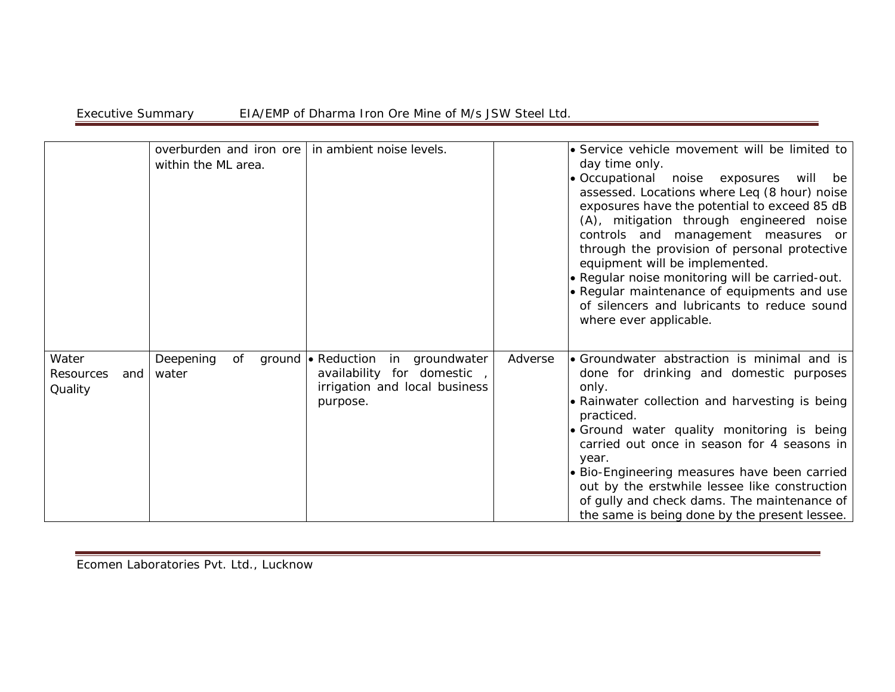|                                        | overburden and iron ore<br>within the ML area. | in ambient noise levels.                                                                                     | • Service vehicle movement will be limited to<br>day time only.<br>· Occupational noise exposures will be<br>assessed. Locations where Leq (8 hour) noise<br>exposures have the potential to exceed 85 dB<br>(A), mitigation through engineered noise<br>controls and management measures or<br>through the provision of personal protective<br>equipment will be implemented.<br>. Regular noise monitoring will be carried-out.<br>• Regular maintenance of equipments and use<br>of silencers and lubricants to reduce sound<br>where ever applicable. |
|----------------------------------------|------------------------------------------------|--------------------------------------------------------------------------------------------------------------|-----------------------------------------------------------------------------------------------------------------------------------------------------------------------------------------------------------------------------------------------------------------------------------------------------------------------------------------------------------------------------------------------------------------------------------------------------------------------------------------------------------------------------------------------------------|
| Water<br>Resources<br>and  <br>Quality | of<br>Deepening<br>water                       | ground • Reduction in groundwater<br>availability for domestic,<br>irrigation and local business<br>purpose. | • Groundwater abstraction is minimal and is<br>Adverse<br>done for drinking and domestic purposes<br>only.<br>• Rainwater collection and harvesting is being<br>practiced.<br>· Ground water quality monitoring is being<br>carried out once in season for 4 seasons in<br>year.<br>• Bio-Engineering measures have been carried<br>out by the erstwhile lessee like construction<br>of gully and check dams. The maintenance of<br>the same is being done by the present lessee.                                                                         |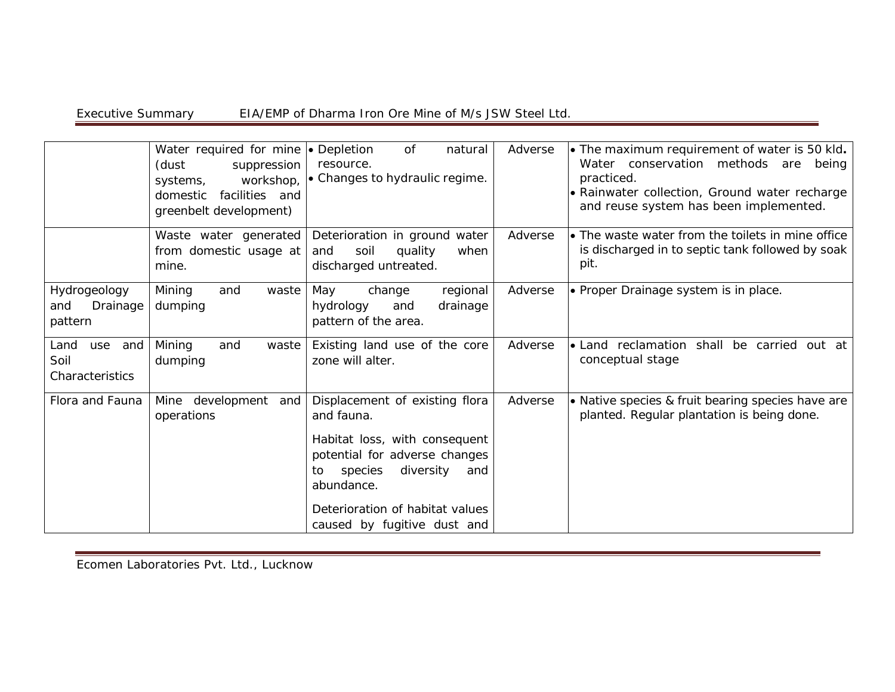|                                               | Water required for mine • Depletion<br>(dust<br>suppression<br>workshop,<br>systems,<br>domestic<br>facilities and<br>greenbelt development) | of<br>natural<br>resource.<br>• Changes to hydraulic regime.                                                                                                                                                                        | Adverse | $\bullet$ The maximum requirement of water is 50 kld.<br>Water conservation methods are being<br>practiced.<br>• Rainwater collection, Ground water recharge<br>and reuse system has been implemented. |
|-----------------------------------------------|----------------------------------------------------------------------------------------------------------------------------------------------|-------------------------------------------------------------------------------------------------------------------------------------------------------------------------------------------------------------------------------------|---------|--------------------------------------------------------------------------------------------------------------------------------------------------------------------------------------------------------|
|                                               | Waste water generated<br>from domestic usage at<br>mine.                                                                                     | Deterioration in ground water<br>soil<br>quality<br>when<br>and<br>discharged untreated.                                                                                                                                            | Adverse | • The waste water from the toilets in mine office<br>is discharged in to septic tank followed by soak<br>pit.                                                                                          |
| Hydrogeology<br>Drainage<br>and<br>pattern    | Mining<br>and<br>waste<br>dumping                                                                                                            | May<br>change<br>regional<br>hydrology<br>drainage<br>and<br>pattern of the area.                                                                                                                                                   | Adverse | • Proper Drainage system is in place.                                                                                                                                                                  |
| Land<br>use<br>and<br>Soil<br>Characteristics | Mining<br>and<br>waste<br>dumping                                                                                                            | Existing land use of the core<br>zone will alter.                                                                                                                                                                                   | Adverse | Land reclamation shall<br>be carried out at<br>conceptual stage                                                                                                                                        |
| Flora and Fauna                               | development<br>Mine<br>and<br>operations                                                                                                     | Displacement of existing flora<br>and fauna.<br>Habitat loss, with consequent<br>potential for adverse changes<br>diversity<br>species<br>and<br>to<br>abundance.<br>Deterioration of habitat values<br>caused by fugitive dust and | Adverse | • Native species & fruit bearing species have are<br>planted. Regular plantation is being done.                                                                                                        |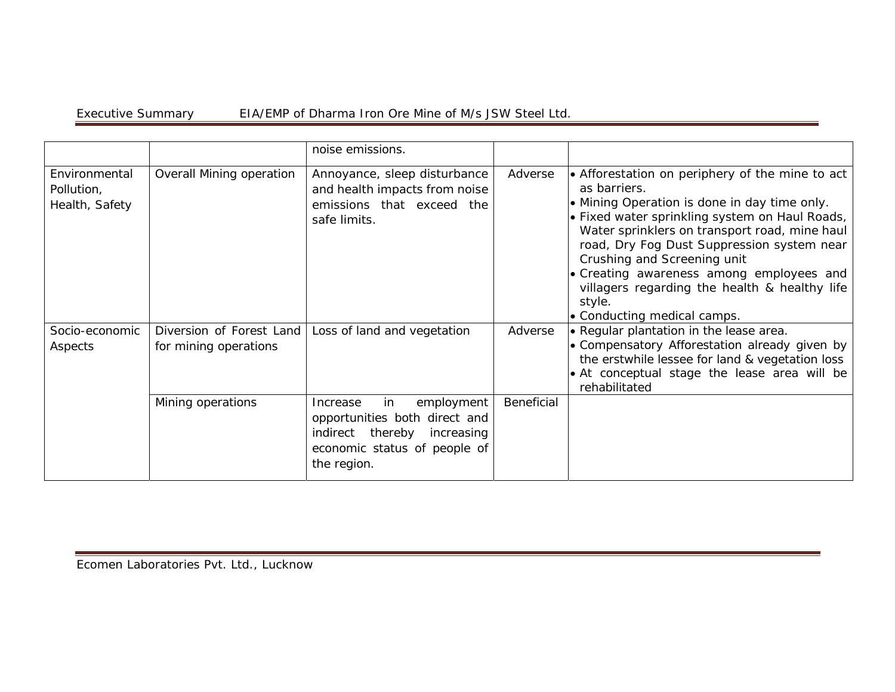|                                               |                                                   | noise emissions.                                                                                                                               |            |                                                                                                                                                                                                                                                                                                                                                                                                                                       |
|-----------------------------------------------|---------------------------------------------------|------------------------------------------------------------------------------------------------------------------------------------------------|------------|---------------------------------------------------------------------------------------------------------------------------------------------------------------------------------------------------------------------------------------------------------------------------------------------------------------------------------------------------------------------------------------------------------------------------------------|
| Environmental<br>Pollution,<br>Health, Safety | Overall Mining operation                          | Annoyance, sleep disturbance<br>and health impacts from noise<br>emissions that exceed the<br>safe limits.                                     | Adverse    | • Afforestation on periphery of the mine to act<br>as barriers.<br>• Mining Operation is done in day time only.<br>• Fixed water sprinkling system on Haul Roads,<br>Water sprinklers on transport road, mine haul<br>road, Dry Fog Dust Suppression system near<br>Crushing and Screening unit<br>• Creating awareness among employees and<br>villagers regarding the health & healthy life<br>style.<br>• Conducting medical camps. |
| Socio-economic<br>Aspects                     | Diversion of Forest Land<br>for mining operations | Loss of land and vegetation                                                                                                                    | Adverse    | • Regular plantation in the lease area.<br>• Compensatory Afforestation already given by<br>the erstwhile lessee for land & vegetation loss<br>• At conceptual stage the lease area will be<br>rehabilitated                                                                                                                                                                                                                          |
|                                               | Mining operations                                 | in<br>employment<br>Increase<br>opportunities both direct and<br>indirect thereby<br>increasing<br>economic status of people of<br>the region. | Beneficial |                                                                                                                                                                                                                                                                                                                                                                                                                                       |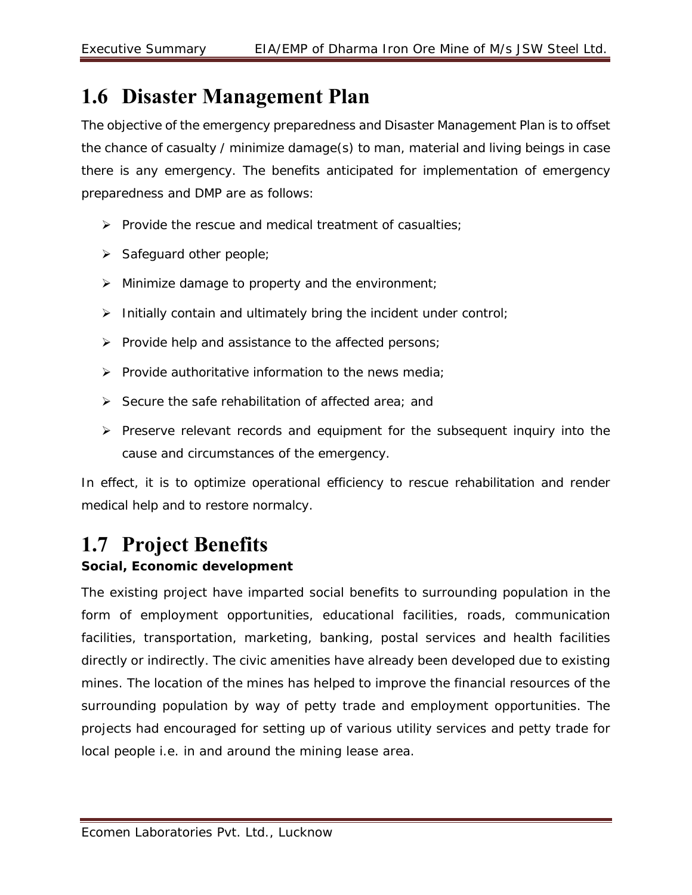## **1.6 Disaster Management Plan**

The objective of the emergency preparedness and Disaster Management Plan is to offset the chance of casualty / minimize damage(s) to man, material and living beings in case there is any emergency. The benefits anticipated for implementation of emergency preparedness and DMP are as follows:

- $\triangleright$  Provide the rescue and medical treatment of casualties:
- $\triangleright$  Safeguard other people;
- $\triangleright$  Minimize damage to property and the environment;
- $\triangleright$  Initially contain and ultimately bring the incident under control;
- $\triangleright$  Provide help and assistance to the affected persons;
- $\triangleright$  Provide authoritative information to the news media;
- $\triangleright$  Secure the safe rehabilitation of affected area; and
- $\triangleright$  Preserve relevant records and equipment for the subsequent inquiry into the cause and circumstances of the emergency.

In effect, it is to optimize operational efficiency to rescue rehabilitation and render medical help and to restore normalcy.

## **1.7 Project Benefits**

#### **Social, Economic development**

The existing project have imparted social benefits to surrounding population in the form of employment opportunities, educational facilities, roads, communication facilities, transportation, marketing, banking, postal services and health facilities directly or indirectly. The civic amenities have already been developed due to existing mines. The location of the mines has helped to improve the financial resources of the surrounding population by way of petty trade and employment opportunities. The projects had encouraged for setting up of various utility services and petty trade for local people i.e. in and around the mining lease area.